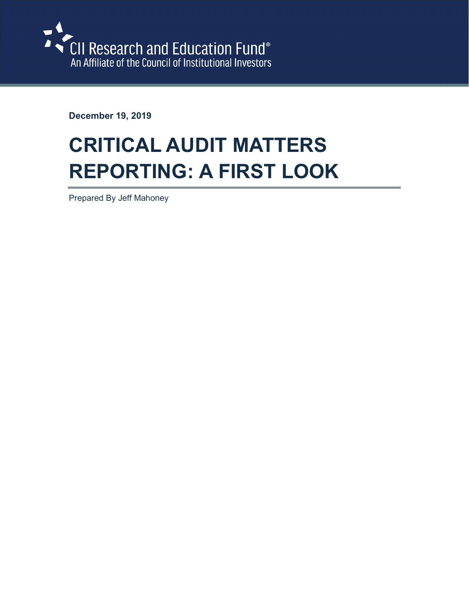

December 19, 2019

# CRITICAL AUDIT MATTERS REPORTING: A FIRST LOOK

Prepared By Jeff Mahoney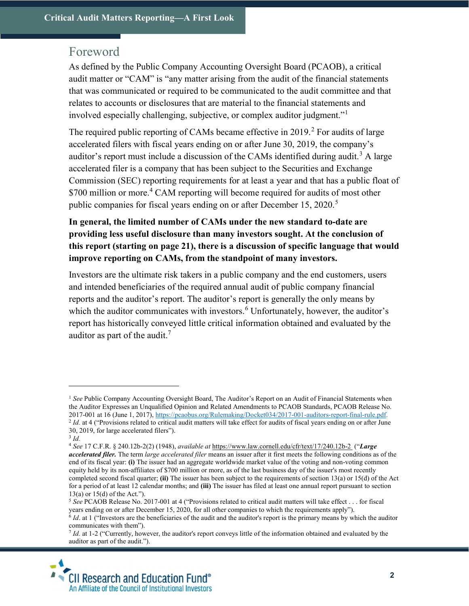# Foreword

As defined by the Public Company Accounting Oversight Board (PCAOB), a critical audit matter or "CAM" is "any matter arising from the audit of the financial statements that was communicated or required to be communicated to the audit committee and that relates to accounts or disclosures that are material to the financial statements and involved especially challenging, subjective, or complex auditor judgment."<sup>1</sup>

The required public reporting of CAMs became effective in 2019.<sup>2</sup> For audits of large accelerated filers with fiscal years ending on or after June 30, 2019, the company's auditor's report must include a discussion of the CAMs identified during audit.<sup>3</sup> A large accelerated filer is a company that has been subject to the Securities and Exchange Commission (SEC) reporting requirements for at least a year and that has a public float of \$700 million or more.<sup>4</sup> CAM reporting will become required for audits of most other public companies for fiscal years ending on or after December 15, 2020.<sup>5</sup>

# In general, the limited number of CAMs under the new standard to-date are providing less useful disclosure than many investors sought. At the conclusion of this report (starting on page 21), there is a discussion of specific language that would improve reporting on CAMs, from the standpoint of many investors.

Investors are the ultimate risk takers in a public company and the end customers, users and intended beneficiaries of the required annual audit of public company financial reports and the auditor's report. The auditor's report is generally the only means by which the auditor communicates with investors.  $6$  Unfortunately, however, the auditor's report has historically conveyed little critical information obtained and evaluated by the auditor as part of the audit.<sup>7</sup>

<sup>&</sup>lt;sup>1</sup> See Public Company Accounting Oversight Board, The Auditor's Report on an Audit of Financial Statements when the Auditor Expresses an Unqualified Opinion and Related Amendments to PCAOB Standards, PCAOB Release No. 2017-001 at 16 (June 1, 2017), https://pcaobus.org/Rulemaking/Docket034/2017-001-auditors-report-final-rule.pdf.  $^{2}$  *Id.* at 4 ("Provisions related to critical audit matters will take effect for audits of fiscal years ending on or after June 30, 2019, for large accelerated filers").

 $3$  Id.

<sup>4</sup> See 17 C.F.R. § 240.12b-2(2) (1948), available at https://www.law.cornell.edu/cfr/text/17/240.12b-2 ("Large accelerated filer. The term large accelerated filer means an issuer after it first meets the following conditions as of the end of its fiscal year: (i) The issuer had an aggregate worldwide market value of the voting and non-voting common equity held by its non-affiliates of \$700 million or more, as of the last business day of the issuer's most recently completed second fiscal quarter; (ii) The issuer has been subject to the requirements of section 13(a) or 15(d) of the Act for a period of at least 12 calendar months; and (iii) The issuer has filed at least one annual report pursuant to section 13(a) or 15(d) of the Act.").

<sup>&</sup>lt;sup>5</sup> See PCAOB Release No. 2017-001 at 4 ("Provisions related to critical audit matters will take effect . . . for fiscal years ending on or after December 15, 2020, for all other companies to which the requirements apply").

 $6$  *Id.* at 1 ("Investors are the beneficiaries of the audit and the auditor's report is the primary means by which the auditor communicates with them").

 $^{7}$  Id. at 1-2 ("Currently, however, the auditor's report conveys little of the information obtained and evaluated by the auditor as part of the audit.").

**CII Research and Education Fund®** An Affiliate of the Council of Institutional Investors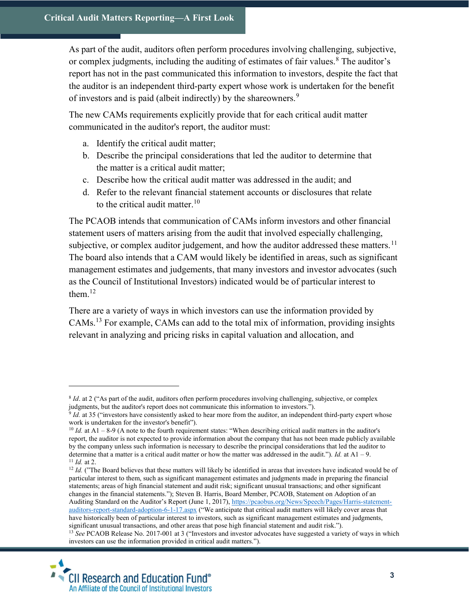As part of the audit, auditors often perform procedures involving challenging, subjective, or complex judgments, including the auditing of estimates of fair values.<sup>8</sup> The auditor's report has not in the past communicated this information to investors, despite the fact that the auditor is an independent third-party expert whose work is undertaken for the benefit of investors and is paid (albeit indirectly) by the shareowners.<sup>9</sup>

The new CAMs requirements explicitly provide that for each critical audit matter communicated in the auditor's report, the auditor must:

- a. Identify the critical audit matter;
- b. Describe the principal considerations that led the auditor to determine that the matter is a critical audit matter;
- c. Describe how the critical audit matter was addressed in the audit; and
- d. Refer to the relevant financial statement accounts or disclosures that relate to the critical audit matter.<sup>10</sup>

The PCAOB intends that communication of CAMs inform investors and other financial statement users of matters arising from the audit that involved especially challenging, subjective, or complex auditor judgement, and how the auditor addressed these matters.<sup>11</sup> The board also intends that a CAM would likely be identified in areas, such as significant management estimates and judgements, that many investors and investor advocates (such as the Council of Institutional Investors) indicated would be of particular interest to them. $12$ 

There are a variety of ways in which investors can use the information provided by CAMs.<sup>13</sup> For example, CAMs can add to the total mix of information, providing insights relevant in analyzing and pricing risks in capital valuation and allocation, and

<sup>&</sup>lt;sup>13</sup> See PCAOB Release No. 2017-001 at 3 ("Investors and investor advocates have suggested a variety of ways in which investors can use the information provided in critical audit matters.").



<sup>&</sup>lt;sup>8</sup> *Id.* at 2 ("As part of the audit, auditors often perform procedures involving challenging, subjective, or complex judgments, but the auditor's report does not communicate this information to investors.").

 $9$  *Id.* at 35 ("investors have consistently asked to hear more from the auditor, an independent third-party expert whose work is undertaken for the investor's benefit").

 $10$  Id. at A1 – 8-9 (A note to the fourth requirement states: "When describing critical audit matters in the auditor's report, the auditor is not expected to provide information about the company that has not been made publicly available by the company unless such information is necessary to describe the principal considerations that led the auditor to determine that a matter is a critical audit matter or how the matter was addressed in the audit."). Id. at  $A1 - 9$ .  $11$  *Id.* at 2.

 $12$  Id. ("The Board believes that these matters will likely be identified in areas that investors have indicated would be of particular interest to them, such as significant management estimates and judgments made in preparing the financial statements; areas of high financial statement and audit risk; significant unusual transactions; and other significant changes in the financial statements."); Steven B. Harris, Board Member, PCAOB, Statement on Adoption of an Auditing Standard on the Auditor's Report (June 1, 2017), https://pcaobus.org/News/Speech/Pages/Harris-statementauditors-report-standard-adoption-6-1-17.aspx ("We anticipate that critical audit matters will likely cover areas that have historically been of particular interest to investors, such as significant management estimates and judgments, significant unusual transactions, and other areas that pose high financial statement and audit risk.").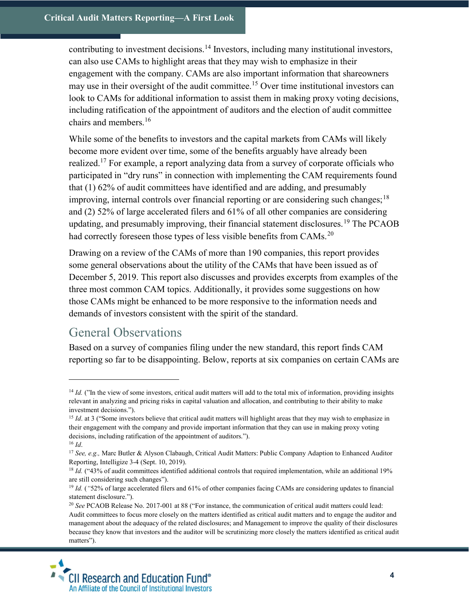contributing to investment decisions.<sup>14</sup> Investors, including many institutional investors, can also use CAMs to highlight areas that they may wish to emphasize in their engagement with the company. CAMs are also important information that shareowners may use in their oversight of the audit committee.<sup>15</sup> Over time institutional investors can look to CAMs for additional information to assist them in making proxy voting decisions, including ratification of the appointment of auditors and the election of audit committee chairs and members.<sup>16</sup>

While some of the benefits to investors and the capital markets from CAMs will likely become more evident over time, some of the benefits arguably have already been realized.<sup>17</sup> For example, a report analyzing data from a survey of corporate officials who participated in "dry runs" in connection with implementing the CAM requirements found that (1) 62% of audit committees have identified and are adding, and presumably improving, internal controls over financial reporting or are considering such changes;  $^{18}$ and (2) 52% of large accelerated filers and 61% of all other companies are considering updating, and presumably improving, their financial statement disclosures.<sup>19</sup> The PCAOB had correctly foreseen those types of less visible benefits from CAMs.<sup>20</sup>

Drawing on a review of the CAMs of more than 190 companies, this report provides some general observations about the utility of the CAMs that have been issued as of December 5, 2019. This report also discusses and provides excerpts from examples of the three most common CAM topics. Additionally, it provides some suggestions on how those CAMs might be enhanced to be more responsive to the information needs and demands of investors consistent with the spirit of the standard.

# General Observations

 $\overline{a}$ 

Based on a survey of companies filing under the new standard, this report finds CAM reporting so far to be disappointing. Below, reports at six companies on certain CAMs are

<sup>&</sup>lt;sup>20</sup> See PCAOB Release No. 2017-001 at 88 ("For instance, the communication of critical audit matters could lead: Audit committees to focus more closely on the matters identified as critical audit matters and to engage the auditor and management about the adequacy of the related disclosures; and Management to improve the quality of their disclosures because they know that investors and the auditor will be scrutinizing more closely the matters identified as critical audit matters").



 $14$  Id. ("In the view of some investors, critical audit matters will add to the total mix of information, providing insights relevant in analyzing and pricing risks in capital valuation and allocation, and contributing to their ability to make investment decisions.").

 $15$  Id. at 3 ("Some investors believe that critical audit matters will highlight areas that they may wish to emphasize in their engagement with the company and provide important information that they can use in making proxy voting decisions, including ratification of the appointment of auditors.").  $16$  *Id.* 

<sup>&</sup>lt;sup>17</sup> See, e.g., Marc Butler & Alyson Clabaugh, Critical Audit Matters: Public Company Adaption to Enhanced Auditor Reporting, Intelligize 3-4 (Sept. 10, 2019).

 $18$  Id. ("43% of audit committees identified additional controls that required implementation, while an additional 19% are still considering such changes").

<sup>&</sup>lt;sup>19</sup> Id. ("52% of large accelerated filers and 61% of other companies facing CAMs are considering updates to financial statement disclosure.").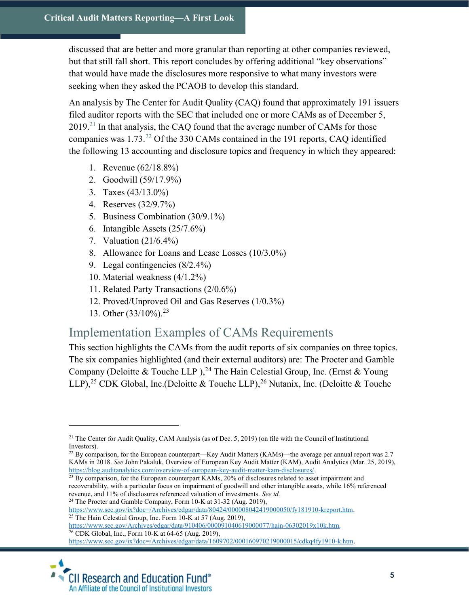discussed that are better and more granular than reporting at other companies reviewed, but that still fall short. This report concludes by offering additional "key observations" that would have made the disclosures more responsive to what many investors were seeking when they asked the PCAOB to develop this standard.

An analysis by The Center for Audit Quality (CAQ) found that approximately 191 issuers filed auditor reports with the SEC that included one or more CAMs as of December 5,  $2019.<sup>21</sup>$  In that analysis, the CAQ found that the average number of CAMs for those companies was 1.73.<sup>22</sup> Of the 330 CAMs contained in the 191 reports, CAQ identified the following 13 accounting and disclosure topics and frequency in which they appeared:

- 1. Revenue (62/18.8%)
- 2. Goodwill (59/17.9%)
- 3. Taxes (43/13.0%)
- 4. Reserves (32/9.7%)
- 5. Business Combination (30/9.1%)
- 6. Intangible Assets (25/7.6%)
- 7. Valuation (21/6.4%)
- 8. Allowance for Loans and Lease Losses (10/3.0%)
- 9. Legal contingencies (8/2.4%)
- 10. Material weakness (4/1.2%)
- 11. Related Party Transactions (2/0.6%)
- 12. Proved/Unproved Oil and Gas Reserves (1/0.3%)
- 13. Other (33/10%).<sup>23</sup>

 $\overline{a}$ 

# Implementation Examples of CAMs Requirements

This section highlights the CAMs from the audit reports of six companies on three topics. The six companies highlighted (and their external auditors) are: The Procter and Gamble Company (Deloitte & Touche LLP),<sup>24</sup> The Hain Celestial Group, Inc. (Ernst & Young LLP),<sup>25</sup> CDK Global, Inc.(Deloitte & Touche LLP),<sup>26</sup> Nutanix, Inc. (Deloitte & Touche

 $^{23}$  By comparison, for the European counterpart KAMs, 20% of disclosures related to asset impairment and recoverability, with a particular focus on impairment of goodwill and other intangible assets, while 16% referenced revenue, and 11% of disclosures referenced valuation of investments. See id.

<sup>24</sup> The Procter and Gamble Company, Form 10-K at 31-32 (Aug. 2019),

https://www.sec.gov/ix?doc=/Archives/edgar/data/80424/000008042419000050/fy181910-kreport.htm.  $25$  The Hain Celestial Group, Inc. Form 10-K at 57 (Aug. 2019),

https://www.sec.gov/ix?doc=/Archives/edgar/data/1609702/000160970219000015/cdkq4fy1910-k.htm.



<sup>&</sup>lt;sup>21</sup> The Center for Audit Quality, CAM Analysis (as of Dec. 5, 2019) (on file with the Council of Institutional Investors).

 $22$  By comparison, for the European counterpart—Key Audit Matters (KAMs)—the average per annual report was 2.7 KAMs in 2018. See John Pakaluk, Overview of European Key Audit Matter (KAM), Audit Analytics (Mar. 25, 2019), https://blog.auditanalytics.com/overview-of-european-key-audit-matter-kam-disclosures/.

https://www.sec.gov/Archives/edgar/data/910406/000091040619000077/hain-06302019x10k.htm. <sup>26</sup> CDK Global, Inc., Form 10-K at 64-65 (Aug. 2019),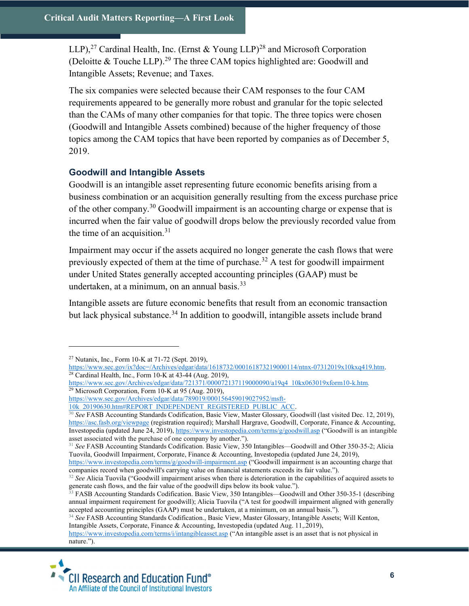LLP),<sup>27</sup> Cardinal Health, Inc. (Ernst & Young LLP)<sup>28</sup> and Microsoft Corporation (Deloitte  $&$  Touche LLP).<sup>29</sup> The three CAM topics highlighted are: Goodwill and Intangible Assets; Revenue; and Taxes.

The six companies were selected because their CAM responses to the four CAM requirements appeared to be generally more robust and granular for the topic selected than the CAMs of many other companies for that topic. The three topics were chosen (Goodwill and Intangible Assets combined) because of the higher frequency of those topics among the CAM topics that have been reported by companies as of December 5, 2019.

# Goodwill and Intangible Assets

Goodwill is an intangible asset representing future economic benefits arising from a business combination or an acquisition generally resulting from the excess purchase price of the other company.<sup>30</sup> Goodwill impairment is an accounting charge or expense that is incurred when the fair value of goodwill drops below the previously recorded value from the time of an acquisition.<sup>31</sup>

Impairment may occur if the assets acquired no longer generate the cash flows that were previously expected of them at the time of purchase.<sup>32</sup> A test for goodwill impairment under United States generally accepted accounting principles (GAAP) must be undertaken, at a minimum, on an annual basis. $33$ 

Intangible assets are future economic benefits that result from an economic transaction but lack physical substance.<sup>34</sup> In addition to goodwill, intangible assets include brand

 $27$  Nutanix, Inc., Form 10-K at 71-72 (Sept. 2019),

https://www.sec.gov/ix?doc=/Archives/edgar/data/1618732/000161873219000114/ntnx-07312019x10kxq419.htm.  $28$  Cardinal Health, Inc., Form 10-K at 43-44 (Aug. 2019),

https://www.sec.gov/Archives/edgar/data/721371/000072137119000090/a19q4\_10kx063019xform10-k.htm. <sup>29</sup> Microsoft Corporation, Form 10-K at 95 (Aug. 2019),

https://www.sec.gov/Archives/edgar/data/789019/000156459019027952/msft-

<sup>10</sup>k\_20190630.htm#REPORT\_INDEPENDENT\_REGISTERED\_PUBLIC\_ACC.

<sup>&</sup>lt;sup>30</sup> See FASB Accounting Standards Codification, Basic View, Master Glossary, Goodwill (last visited Dec. 12, 2019), https://asc.fasb.org/viewpage (registration required); Marshall Hargrave, Goodwill, Corporate, Finance & Accounting, Investopedia (updated June 24, 2019), https://www.investopedia.com/terms/g/goodwill.asp ("Goodwill is an intangible asset associated with the purchase of one company by another.").

<sup>&</sup>lt;sup>31</sup> See FASB Accounting Standards Codification. Basic View, 350 Intangibles—Goodwill and Other 350-35-2; Alicia Tuovila, Goodwill Impairment, Corporate, Finance & Accounting, Investopedia (updated June 24, 2019),

https://www.investopedia.com/terms/g/goodwill-impairment.asp ("Goodwill impairment is an accounting charge that companies record when goodwill's carrying value on financial statements exceeds its fair value.").

 $32$  See Alicia Tuovila ("Goodwill impairment arises when there is deterioration in the capabilities of acquired assets to generate cash flows, and the fair value of the goodwill dips below its book value.").

<sup>&</sup>lt;sup>33</sup> FASB Accounting Standards Codification. Basic View, 350 Intangibles—Goodwill and Other 350-35-1 (describing annual impairment requirement for goodwill); Alicia Tuovila ("A test for goodwill impairment aligned with generally accepted accounting principles (GAAP) must be undertaken, at a minimum, on an annual basis.").

<sup>&</sup>lt;sup>34</sup> See FASB Accounting Standards Codification., Basic View, Master Glossary, Intangible Assets; Will Kenton, Intangible Assets, Corporate, Finance & Accounting, Investopedia (updated Aug. 11,.2019),

https://www.investopedia.com/terms/i/intangibleasset.asp ("An intangible asset is an asset that is not physical in nature.").

**CII Research and Education Fund®** An Affiliate of the Council of Institutional Investors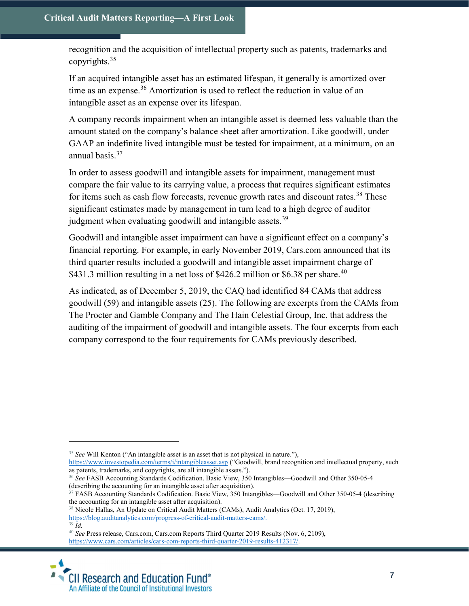recognition and the acquisition of intellectual property such as patents, trademarks and copyrights.<sup>35</sup>

If an acquired intangible asset has an estimated lifespan, it generally is amortized over time as an expense.<sup>36</sup> Amortization is used to reflect the reduction in value of an intangible asset as an expense over its lifespan.

A company records impairment when an intangible asset is deemed less valuable than the amount stated on the company's balance sheet after amortization. Like goodwill, under GAAP an indefinite lived intangible must be tested for impairment, at a minimum, on an annual basis.<sup>37</sup>

In order to assess goodwill and intangible assets for impairment, management must compare the fair value to its carrying value, a process that requires significant estimates for items such as cash flow forecasts, revenue growth rates and discount rates.<sup>38</sup> These significant estimates made by management in turn lead to a high degree of auditor judgment when evaluating goodwill and intangible assets.<sup>39</sup>

Goodwill and intangible asset impairment can have a significant effect on a company's financial reporting. For example, in early November 2019, Cars.com announced that its third quarter results included a goodwill and intangible asset impairment charge of \$431.3 million resulting in a net loss of \$426.2 million or \$6.38 per share.<sup>40</sup>

As indicated, as of December 5, 2019, the CAQ had identified 84 CAMs that address goodwill (59) and intangible assets (25). The following are excerpts from the CAMs from The Procter and Gamble Company and The Hain Celestial Group, Inc. that address the auditing of the impairment of goodwill and intangible assets. The four excerpts from each company correspond to the four requirements for CAMs previously described.

https://www.cars.com/articles/cars-com-reports-third-quarter-2019-results-412317/.



 $35$  See Will Kenton ("An intangible asset is an asset that is not physical in nature."),

https://www.investopedia.com/terms/i/intangibleasset.asp ("Goodwill, brand recognition and intellectual property, such as patents, trademarks, and copyrights, are all intangible assets.").

<sup>&</sup>lt;sup>36</sup> See FASB Accounting Standards Codification. Basic View, 350 Intangibles—Goodwill and Other 350-05-4 (describing the accounting for an intangible asset after acquisition).

<sup>&</sup>lt;sup>37</sup> FASB Accounting Standards Codification. Basic View, 350 Intangibles—Goodwill and Other 350-05-4 (describing the accounting for an intangible asset after acquisition).

<sup>&</sup>lt;sup>38</sup> Nicole Hallas, An Update on Critical Audit Matters (CAMs), Audit Analytics (Oct. 17, 2019),

https://blog.auditanalytics.com/progress-of-critical-audit-matters-cams/.

 $39 \dot{I}$ 

<sup>&</sup>lt;sup>40</sup> See Press release, Cars.com, Cars.com Reports Third Quarter 2019 Results (Nov. 6, 2109),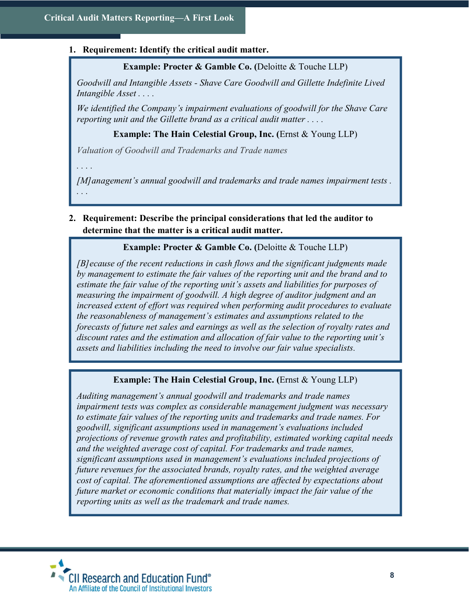#### 1. Requirement: Identify the critical audit matter.

Example: Procter & Gamble Co. (Deloitte & Touche LLP)

Goodwill and Intangible Assets - Shave Care Goodwill and Gillette Indefinite Lived Intangible Asset . . . .

We identified the Company's impairment evaluations of goodwill for the Shave Care reporting unit and the Gillette brand as a critical audit matter . . . .

Example: The Hain Celestial Group, Inc. (Ernst & Young LLP)

Valuation of Goodwill and Trademarks and Trade names

. . . .

[M] anagement's annual goodwill and trademarks and trade names impairment tests. . . .

2. Requirement: Describe the principal considerations that led the auditor to determine that the matter is a critical audit matter.

#### Example: Procter & Gamble Co. (Deloitte & Touche LLP)

[B]ecause of the recent reductions in cash flows and the significant judgments made by management to estimate the fair values of the reporting unit and the brand and to estimate the fair value of the reporting unit's assets and liabilities for purposes of measuring the impairment of goodwill. A high degree of auditor judgment and an increased extent of effort was required when performing audit procedures to evaluate the reasonableness of management's estimates and assumptions related to the forecasts of future net sales and earnings as well as the selection of royalty rates and discount rates and the estimation and allocation of fair value to the reporting unit's assets and liabilities including the need to involve our fair value specialists.

#### Example: The Hain Celestial Group, Inc. (Ernst & Young LLP)

Auditing management's annual goodwill and trademarks and trade names impairment tests was complex as considerable management judgment was necessary to estimate fair values of the reporting units and trademarks and trade names. For goodwill, significant assumptions used in management's evaluations included projections of revenue growth rates and profitability, estimated working capital needs and the weighted average cost of capital. For trademarks and trade names, significant assumptions used in management's evaluations included projections of future revenues for the associated brands, royalty rates, and the weighted average cost of capital. The aforementioned assumptions are affected by expectations about future market or economic conditions that materially impact the fair value of the reporting units as well as the trademark and trade names.

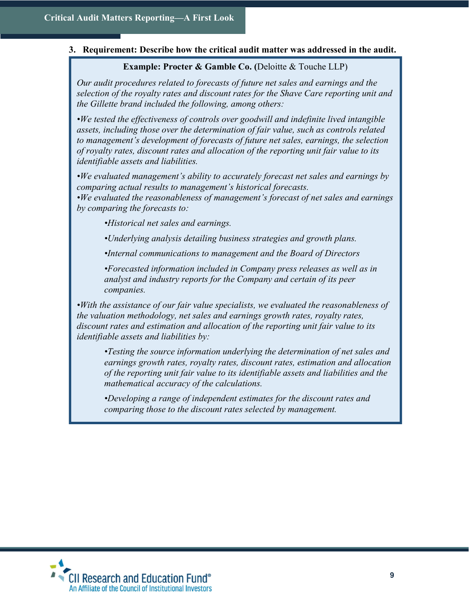#### 3. Requirement: Describe how the critical audit matter was addressed in the audit.

#### Example: Procter & Gamble Co. (Deloitte & Touche LLP)

Our audit procedures related to forecasts of future net sales and earnings and the selection of the royalty rates and discount rates for the Shave Care reporting unit and the Gillette brand included the following, among others:

•We tested the effectiveness of controls over goodwill and indefinite lived intangible assets, including those over the determination of fair value, such as controls related to management's development of forecasts of future net sales, earnings, the selection of royalty rates, discount rates and allocation of the reporting unit fair value to its identifiable assets and liabilities.

•We evaluated management's ability to accurately forecast net sales and earnings by comparing actual results to management's historical forecasts.

•We evaluated the reasonableness of management's forecast of net sales and earnings by comparing the forecasts to:

•Historical net sales and earnings.

•Underlying analysis detailing business strategies and growth plans.

•Internal communications to management and the Board of Directors

•Forecasted information included in Company press releases as well as in analyst and industry reports for the Company and certain of its peer companies.

•With the assistance of our fair value specialists, we evaluated the reasonableness of the valuation methodology, net sales and earnings growth rates, royalty rates, discount rates and estimation and allocation of the reporting unit fair value to its identifiable assets and liabilities by:

•Testing the source information underlying the determination of net sales and earnings growth rates, royalty rates, discount rates, estimation and allocation of the reporting unit fair value to its identifiable assets and liabilities and the mathematical accuracy of the calculations.

•Developing a range of independent estimates for the discount rates and comparing those to the discount rates selected by management.

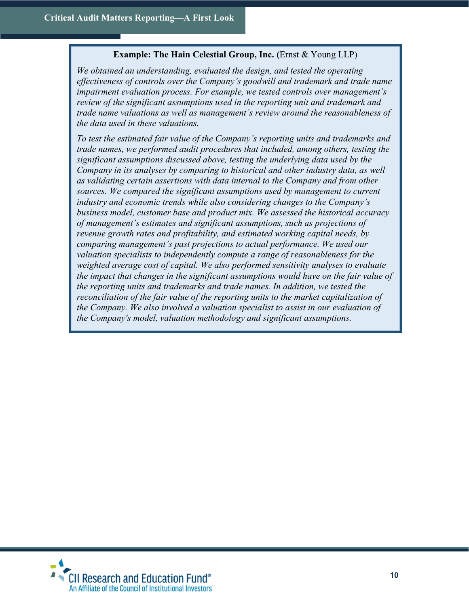# Example: The Hain Celestial Group, Inc. (Ernst & Young LLP)

We obtained an understanding, evaluated the design, and tested the operating effectiveness of controls over the Company's goodwill and trademark and trade name impairment evaluation process. For example, we tested controls over management's review of the significant assumptions used in the reporting unit and trademark and trade name valuations as well as management's review around the reasonableness of the data used in these valuations.

To test the estimated fair value of the Company's reporting units and trademarks and trade names, we performed audit procedures that included, among others, testing the significant assumptions discussed above, testing the underlying data used by the Company in its analyses by comparing to historical and other industry data, as well as validating certain assertions with data internal to the Company and from other sources. We compared the significant assumptions used by management to current industry and economic trends while also considering changes to the Company's business model, customer base and product mix. We assessed the historical accuracy of management's estimates and significant assumptions, such as projections of revenue growth rates and profitability, and estimated working capital needs, by comparing management's past projections to actual performance. We used our valuation specialists to independently compute a range of reasonableness for the weighted average cost of capital. We also performed sensitivity analyses to evaluate the impact that changes in the significant assumptions would have on the fair value of the reporting units and trademarks and trade names. In addition, we tested the reconciliation of the fair value of the reporting units to the market capitalization of the Company. We also involved a valuation specialist to assist in our evaluation of the Company's model, valuation methodology and significant assumptions.

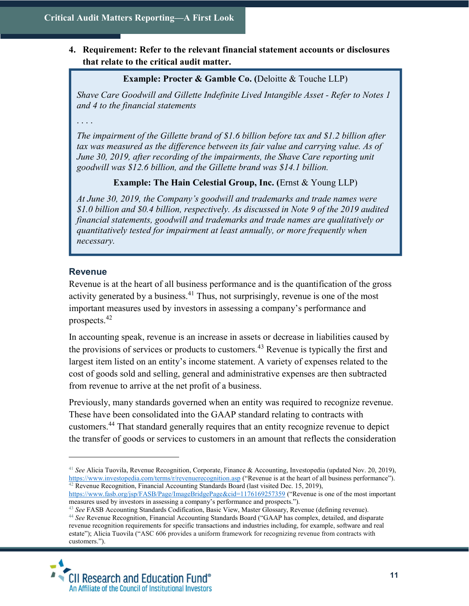# 4. Requirement: Refer to the relevant financial statement accounts or disclosures that relate to the critical audit matter.

# Example: Procter & Gamble Co. (Deloitte & Touche LLP)

Shave Care Goodwill and Gillette Indefinite Lived Intangible Asset - Refer to Notes 1 and 4 to the financial statements

. . . .

The impairment of the Gillette brand of \$1.6 billion before tax and \$1.2 billion after tax was measured as the difference between its fair value and carrying value. As of June 30, 2019, after recording of the impairments, the Shave Care reporting unit goodwill was \$12.6 billion, and the Gillette brand was \$14.1 billion.

# Example: The Hain Celestial Group, Inc. (Ernst & Young LLP)

At June 30, 2019, the Company's goodwill and trademarks and trade names were \$1.0 billion and \$0.4 billion, respectively. As discussed in Note 9 of the 2019 audited financial statements, goodwill and trademarks and trade names are qualitatively or quantitatively tested for impairment at least annually, or more frequently when necessary.

# **Revenue**

 $\overline{a}$ 

Revenue is at the heart of all business performance and is the quantification of the gross activity generated by a business.<sup>41</sup> Thus, not surprisingly, revenue is one of the most important measures used by investors in assessing a company's performance and prospects.<sup>42</sup>

In accounting speak, revenue is an increase in assets or decrease in liabilities caused by the provisions of services or products to customers.<sup>43</sup> Revenue is typically the first and largest item listed on an entity's income statement. A variety of expenses related to the cost of goods sold and selling, general and administrative expenses are then subtracted from revenue to arrive at the net profit of a business.

Previously, many standards governed when an entity was required to recognize revenue. These have been consolidated into the GAAP standard relating to contracts with customers.<sup>44</sup> That standard generally requires that an entity recognize revenue to depict the transfer of goods or services to customers in an amount that reflects the consideration

<sup>&</sup>lt;sup>43</sup> See FASB Accounting Standards Codification, Basic View, Master Glossary, Revenue (defining revenue). <sup>44</sup> See Revenue Recognition, Financial Accounting Standards Board ("GAAP has complex, detailed, and disparate revenue recognition requirements for specific transactions and industries including, for example, software and real estate"); Alicia Tuovila ("ASC 606 provides a uniform framework for recognizing revenue from contracts with customers.").



<sup>&</sup>lt;sup>41</sup> See Alicia Tuovila, Revenue Recognition, Corporate, Finance & Accounting, Investopedia (updated Nov. 20, 2019), https://www.investopedia.com/terms/r/revenuerecognition.asp ("Revenue is at the heart of all business performance").  $42$  Revenue Recognition, Financial Accounting Standards Board (last visited Dec. 15, 2019),

https://www.fasb.org/jsp/FASB/Page/ImageBridgePage&cid=1176169257359 ("Revenue is one of the most important measures used by investors in assessing a company's performance and prospects.").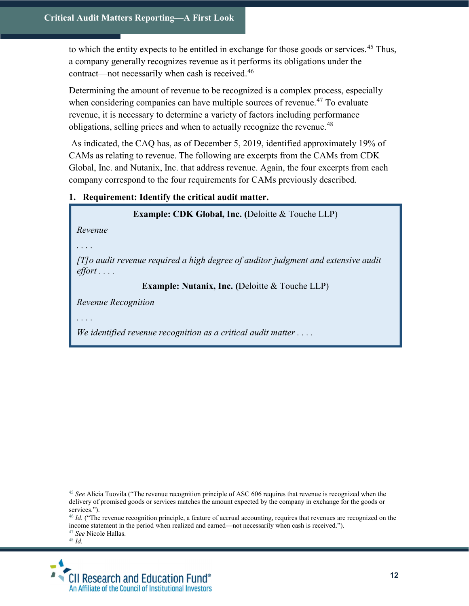to which the entity expects to be entitled in exchange for those goods or services.<sup>45</sup> Thus, a company generally recognizes revenue as it performs its obligations under the contract—not necessarily when cash is received.<sup>46</sup>

Determining the amount of revenue to be recognized is a complex process, especially when considering companies can have multiple sources of revenue.<sup>47</sup> To evaluate revenue, it is necessary to determine a variety of factors including performance obligations, selling prices and when to actually recognize the revenue.<sup>48</sup>

 As indicated, the CAQ has, as of December 5, 2019, identified approximately 19% of CAMs as relating to revenue. The following are excerpts from the CAMs from CDK Global, Inc. and Nutanix, Inc. that address revenue. Again, the four excerpts from each company correspond to the four requirements for CAMs previously described.

#### 1. Requirement: Identify the critical audit matter.

Example: CDK Global, Inc. (Deloitte & Touche LLP)

Revenue

. . . .

[T]o audit revenue required a high degree of auditor judgment and extensive audit effort . . . .

Example: Nutanix, Inc. (Deloitte & Touche LLP)

Revenue Recognition

. . . .

We identified revenue recognition as a critical audit matter  $\dots$ .



 $45$  See Alicia Tuovila ("The revenue recognition principle of ASC 606 requires that revenue is recognized when the delivery of promised goods or services matches the amount expected by the company in exchange for the goods or services.").

 $46$  *Id.* ("The revenue recognition principle, a feature of accrual accounting, requires that revenues are recognized on the income statement in the period when realized and earned—not necessarily when cash is received.").

<sup>&</sup>lt;sup>47</sup> See Nicole Hallas.

 $^{48}$   $\emph{Id.}$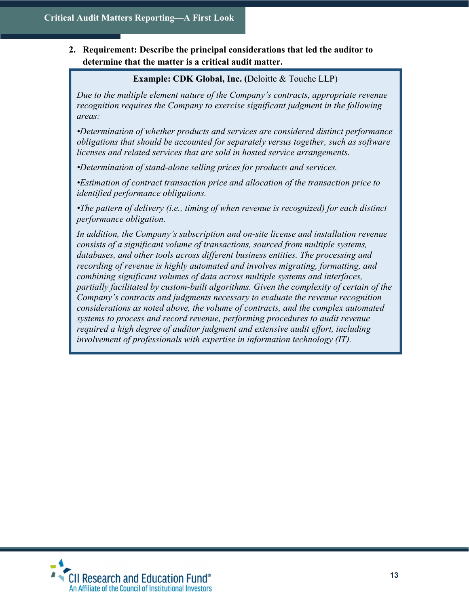2. Requirement: Describe the principal considerations that led the auditor to determine that the matter is a critical audit matter.

Example: CDK Global, Inc. (Deloitte & Touche LLP)

Due to the multiple element nature of the Company's contracts, appropriate revenue recognition requires the Company to exercise significant judgment in the following areas:

•Determination of whether products and services are considered distinct performance obligations that should be accounted for separately versus together, such as software licenses and related services that are sold in hosted service arrangements.

•Determination of stand-alone selling prices for products and services.

•Estimation of contract transaction price and allocation of the transaction price to identified performance obligations.

•The pattern of delivery (i.e., timing of when revenue is recognized) for each distinct performance obligation.

In addition, the Company's subscription and on-site license and installation revenue consists of a significant volume of transactions, sourced from multiple systems, databases, and other tools across different business entities. The processing and recording of revenue is highly automated and involves migrating, formatting, and combining significant volumes of data across multiple systems and interfaces, partially facilitated by custom-built algorithms. Given the complexity of certain of the Company's contracts and judgments necessary to evaluate the revenue recognition considerations as noted above, the volume of contracts, and the complex automated systems to process and record revenue, performing procedures to audit revenue required a high degree of auditor judgment and extensive audit effort, including involvement of professionals with expertise in information technology (IT).

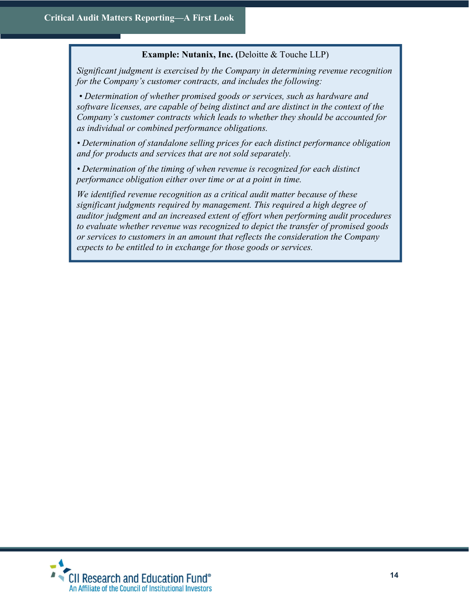# Example: Nutanix, Inc. (Deloitte & Touche LLP)

Significant judgment is exercised by the Company in determining revenue recognition for the Company's customer contracts, and includes the following:

 • Determination of whether promised goods or services, such as hardware and software licenses, are capable of being distinct and are distinct in the context of the Company's customer contracts which leads to whether they should be accounted for as individual or combined performance obligations.

• Determination of standalone selling prices for each distinct performance obligation and for products and services that are not sold separately.

• Determination of the timing of when revenue is recognized for each distinct performance obligation either over time or at a point in time.

We identified revenue recognition as a critical audit matter because of these significant judgments required by management. This required a high degree of auditor judgment and an increased extent of effort when performing audit procedures to evaluate whether revenue was recognized to depict the transfer of promised goods or services to customers in an amount that reflects the consideration the Company expects to be entitled to in exchange for those goods or services.

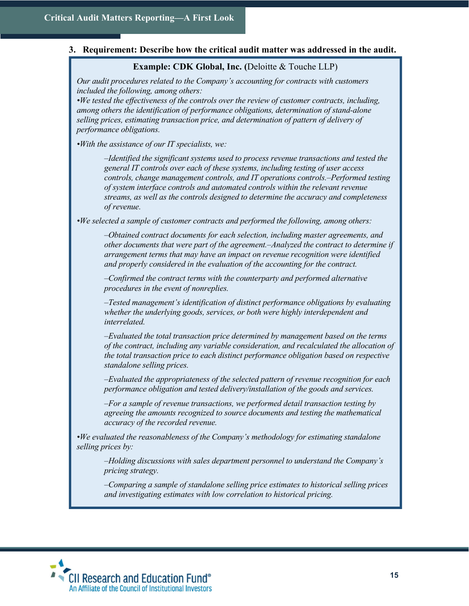#### 3. Requirement: Describe how the critical audit matter was addressed in the audit.

#### Example: CDK Global, Inc. (Deloitte & Touche LLP)

Our audit procedures related to the Company's accounting for contracts with customers included the following, among others:

•We tested the effectiveness of the controls over the review of customer contracts, including, among others the identification of performance obligations, determination of stand-alone selling prices, estimating transaction price, and determination of pattern of delivery of performance obligations.

•With the assistance of our IT specialists, we:

–Identified the significant systems used to process revenue transactions and tested the general IT controls over each of these systems, including testing of user access controls, change management controls, and IT operations controls.–Performed testing of system interface controls and automated controls within the relevant revenue streams, as well as the controls designed to determine the accuracy and completeness of revenue.

•We selected a sample of customer contracts and performed the following, among others:

–Obtained contract documents for each selection, including master agreements, and other documents that were part of the agreement.–Analyzed the contract to determine if arrangement terms that may have an impact on revenue recognition were identified and properly considered in the evaluation of the accounting for the contract.

–Confirmed the contract terms with the counterparty and performed alternative procedures in the event of nonreplies.

–Tested management's identification of distinct performance obligations by evaluating whether the underlying goods, services, or both were highly interdependent and *interrelated* 

–Evaluated the total transaction price determined by management based on the terms of the contract, including any variable consideration, and recalculated the allocation of the total transaction price to each distinct performance obligation based on respective standalone selling prices.

–Evaluated the appropriateness of the selected pattern of revenue recognition for each performance obligation and tested delivery/installation of the goods and services.

–For a sample of revenue transactions, we performed detail transaction testing by agreeing the amounts recognized to source documents and testing the mathematical accuracy of the recorded revenue.

•We evaluated the reasonableness of the Company's methodology for estimating standalone selling prices by:

–Holding discussions with sales department personnel to understand the Company's pricing strategy.

–Comparing a sample of standalone selling price estimates to historical selling prices and investigating estimates with low correlation to historical pricing.

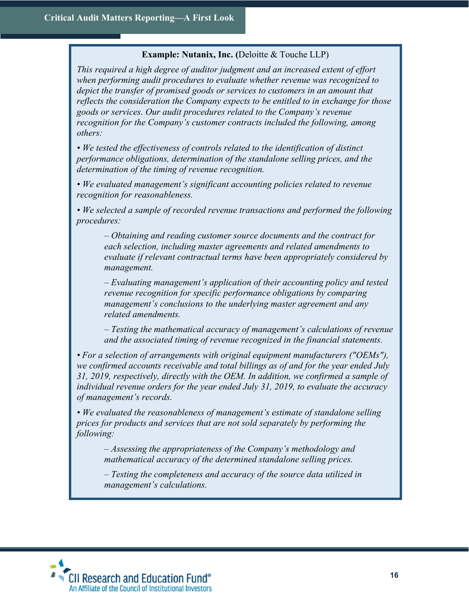# Example: Nutanix, Inc. (Deloitte & Touche LLP)

This required a high degree of auditor judgment and an increased extent of effort when performing audit procedures to evaluate whether revenue was recognized to depict the transfer of promised goods or services to customers in an amount that reflects the consideration the Company expects to be entitled to in exchange for those goods or services. Our audit procedures related to the Company's revenue recognition for the Company's customer contracts included the following, among others:

• We tested the effectiveness of controls related to the identification of distinct performance obligations, determination of the standalone selling prices, and the determination of the timing of revenue recognition.

• We evaluated management's significant accounting policies related to revenue recognition for reasonableness.

• We selected a sample of recorded revenue transactions and performed the following procedures:

– Obtaining and reading customer source documents and the contract for each selection, including master agreements and related amendments to evaluate if relevant contractual terms have been appropriately considered by management.

– Evaluating management's application of their accounting policy and tested revenue recognition for specific performance obligations by comparing management's conclusions to the underlying master agreement and any related amendments.

– Testing the mathematical accuracy of management's calculations of revenue and the associated timing of revenue recognized in the financial statements.

• For a selection of arrangements with original equipment manufacturers ("OEMs"), we confirmed accounts receivable and total billings as of and for the year ended July 31, 2019, respectively, directly with the OEM. In addition, we confirmed a sample of individual revenue orders for the year ended July 31, 2019, to evaluate the accuracy of management's records.

• We evaluated the reasonableness of management's estimate of standalone selling prices for products and services that are not sold separately by performing the following:

– Assessing the appropriateness of the Company's methodology and mathematical accuracy of the determined standalone selling prices.

– Testing the completeness and accuracy of the source data utilized in management's calculations.

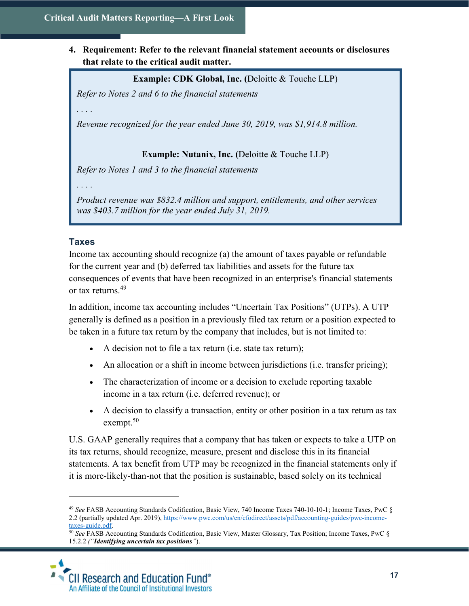4. Requirement: Refer to the relevant financial statement accounts or disclosures that relate to the critical audit matter.

#### Example: CDK Global, Inc. (Deloitte & Touche LLP)

Refer to Notes 2 and 6 to the financial statements

. . . .

Revenue recognized for the year ended June 30, 2019, was \$1,914.8 million.

Example: Nutanix, Inc. (Deloitte & Touche LLP)

Refer to Notes 1 and 3 to the financial statements

. . . .

Product revenue was \$832.4 million and support, entitlements, and other services was \$403.7 million for the year ended July 31, 2019.

#### **Taxes**

 $\overline{a}$ 

Income tax accounting should recognize (a) the amount of taxes payable or refundable for the current year and (b) deferred tax liabilities and assets for the future tax consequences of events that have been recognized in an enterprise's financial statements or tax returns.<sup>49</sup>

In addition, income tax accounting includes "Uncertain Tax Positions" (UTPs). A UTP generally is defined as a position in a previously filed tax return or a position expected to be taken in a future tax return by the company that includes, but is not limited to:

- A decision not to file a tax return (i.e. state tax return);
- An allocation or a shift in income between jurisdictions (i.e. transfer pricing);
- The characterization of income or a decision to exclude reporting taxable income in a tax return (i.e. deferred revenue); or
- A decision to classify a transaction, entity or other position in a tax return as tax exempt.<sup>50</sup>

U.S. GAAP generally requires that a company that has taken or expects to take a UTP on its tax returns, should recognize, measure, present and disclose this in its financial statements. A tax benefit from UTP may be recognized in the financial statements only if it is more-likely-than-not that the position is sustainable, based solely on its technical

<sup>50</sup> See FASB Accounting Standards Codification, Basic View, Master Glossary, Tax Position; Income Taxes, PwC § 15.2.2 ("Identifying uncertain tax positions").



<sup>49</sup> See FASB Accounting Standards Codification, Basic View, 740 Income Taxes 740-10-10-1; Income Taxes, PwC § 2.2 (partially updated Apr. 2019), https://www.pwc.com/us/en/cfodirect/assets/pdf/accounting-guides/pwc-incometaxes-guide.pdf.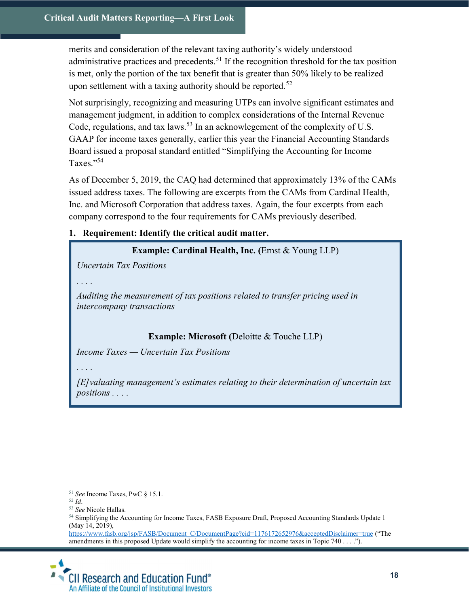merits and consideration of the relevant taxing authority's widely understood administrative practices and precedents.<sup>51</sup> If the recognition threshold for the tax position is met, only the portion of the tax benefit that is greater than 50% likely to be realized upon settlement with a taxing authority should be reported.<sup>52</sup>

Not surprisingly, recognizing and measuring UTPs can involve significant estimates and management judgment, in addition to complex considerations of the Internal Revenue Code, regulations, and tax laws.<sup>53</sup> In an acknowlegement of the complexity of U.S. GAAP for income taxes generally, earlier this year the Financial Accounting Standards Board issued a proposal standard entitled "Simplifying the Accounting for Income Taxes."<sup>54</sup>

As of December 5, 2019, the CAQ had determined that approximately 13% of the CAMs issued address taxes. The following are excerpts from the CAMs from Cardinal Health, Inc. and Microsoft Corporation that address taxes. Again, the four excerpts from each company correspond to the four requirements for CAMs previously described.

# 1. Requirement: Identify the critical audit matter.

Example: Cardinal Health, Inc. (Ernst & Young LLP)

Uncertain Tax Positions

. . . .

Auditing the measurement of tax positions related to transfer pricing used in intercompany transactions

# Example: Microsoft (Deloitte & Touche LLP)

Income Taxes — Uncertain Tax Positions

. . . .

[E]valuating management's estimates relating to their determination of uncertain tax positions . . . .

 $\overline{a}$ 

https://www.fasb.org/jsp/FASB/Document C/DocumentPage?cid=1176172652976&acceptedDisclaimer=true ("The amendments in this proposed Update would simplify the accounting for income taxes in Topic 740 . . . .").



 $51$  See Income Taxes, PwC § 15.1.

<sup>52</sup> Id.

<sup>53</sup> See Nicole Hallas.

<sup>54</sup> Simplifying the Accounting for Income Taxes, FASB Exposure Draft, Proposed Accounting Standards Update 1 (May 14, 2019),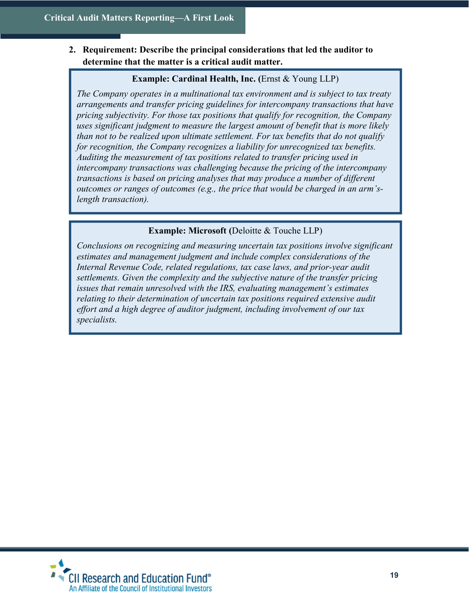2. Requirement: Describe the principal considerations that led the auditor to determine that the matter is a critical audit matter.

# Example: Cardinal Health, Inc. (Ernst & Young LLP)

The Company operates in a multinational tax environment and is subject to tax treaty arrangements and transfer pricing guidelines for intercompany transactions that have pricing subjectivity. For those tax positions that qualify for recognition, the Company uses significant judgment to measure the largest amount of benefit that is more likely than not to be realized upon ultimate settlement. For tax benefits that do not qualify for recognition, the Company recognizes a liability for unrecognized tax benefits. Auditing the measurement of tax positions related to transfer pricing used in intercompany transactions was challenging because the pricing of the intercompany transactions is based on pricing analyses that may produce a number of different outcomes or ranges of outcomes (e.g., the price that would be charged in an arm'slength transaction).

# Example: Microsoft (Deloitte & Touche LLP)

Conclusions on recognizing and measuring uncertain tax positions involve significant estimates and management judgment and include complex considerations of the Internal Revenue Code, related regulations, tax case laws, and prior-year audit settlements. Given the complexity and the subjective nature of the transfer pricing issues that remain unresolved with the IRS, evaluating management's estimates relating to their determination of uncertain tax positions required extensive audit effort and a high degree of auditor judgment, including involvement of our tax specialists.

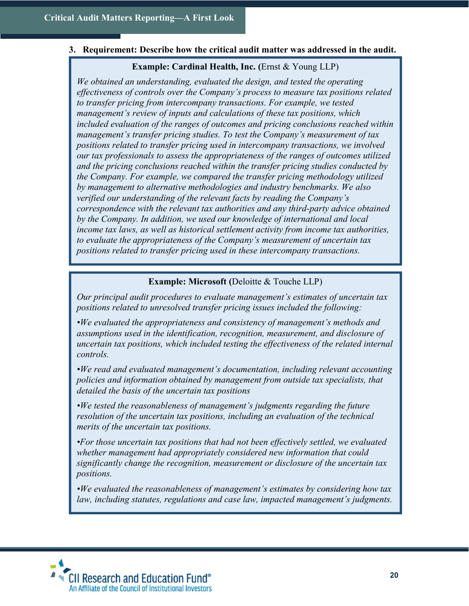#### 3. Requirement: Describe how the critical audit matter was addressed in the audit.

#### Example: Cardinal Health, Inc. (Ernst & Young LLP)

We obtained an understanding, evaluated the design, and tested the operating effectiveness of controls over the Company's process to measure tax positions related to transfer pricing from intercompany transactions. For example, we tested management's review of inputs and calculations of these tax positions, which included evaluation of the ranges of outcomes and pricing conclusions reached within management's transfer pricing studies. To test the Company's measurement of tax positions related to transfer pricing used in intercompany transactions, we involved our tax professionals to assess the appropriateness of the ranges of outcomes utilized and the pricing conclusions reached within the transfer pricing studies conducted by the Company. For example, we compared the transfer pricing methodology utilized by management to alternative methodologies and industry benchmarks. We also verified our understanding of the relevant facts by reading the Company's correspondence with the relevant tax authorities and any third-party advice obtained by the Company. In addition, we used our knowledge of international and local income tax laws, as well as historical settlement activity from income tax authorities, to evaluate the appropriateness of the Company's measurement of uncertain tax positions related to transfer pricing used in these intercompany transactions.

#### Example: Microsoft (Deloitte & Touche LLP)

Our principal audit procedures to evaluate management's estimates of uncertain tax positions related to unresolved transfer pricing issues included the following:

•We evaluated the appropriateness and consistency of management's methods and assumptions used in the identification, recognition, measurement, and disclosure of uncertain tax positions, which included testing the effectiveness of the related internal controls.

•We read and evaluated management's documentation, including relevant accounting policies and information obtained by management from outside tax specialists, that detailed the basis of the uncertain tax positions

•We tested the reasonableness of management's judgments regarding the future resolution of the uncertain tax positions, including an evaluation of the technical merits of the uncertain tax positions.

•For those uncertain tax positions that had not been effectively settled, we evaluated whether management had appropriately considered new information that could significantly change the recognition, measurement or disclosure of the uncertain tax positions.

•We evaluated the reasonableness of management's estimates by considering how tax law, including statutes, regulations and case law, impacted management's judgments.

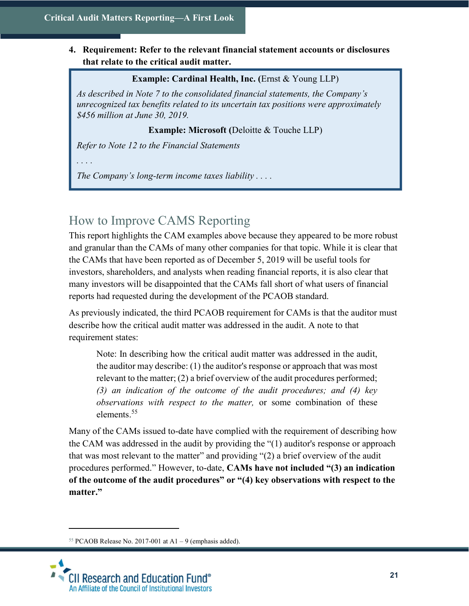# 4. Requirement: Refer to the relevant financial statement accounts or disclosures that relate to the critical audit matter.

# Example: Cardinal Health, Inc. (Ernst & Young LLP)

As described in Note 7 to the consolidated financial statements, the Company's unrecognized tax benefits related to its uncertain tax positions were approximately \$456 million at June 30, 2019.

# Example: Microsoft (Deloitte & Touche LLP)

Refer to Note 12 to the Financial Statements

. . . .

The Company's long-term income taxes liability  $\dots$ .

# How to Improve CAMS Reporting

This report highlights the CAM examples above because they appeared to be more robust and granular than the CAMs of many other companies for that topic. While it is clear that the CAMs that have been reported as of December 5, 2019 will be useful tools for investors, shareholders, and analysts when reading financial reports, it is also clear that many investors will be disappointed that the CAMs fall short of what users of financial reports had requested during the development of the PCAOB standard.

As previously indicated, the third PCAOB requirement for CAMs is that the auditor must describe how the critical audit matter was addressed in the audit. A note to that requirement states:

Note: In describing how the critical audit matter was addressed in the audit, the auditor may describe: (1) the auditor's response or approach that was most relevant to the matter; (2) a brief overview of the audit procedures performed; (3) an indication of the outcome of the audit procedures; and (4) key observations with respect to the matter, or some combination of these elements.<sup>55</sup>

Many of the CAMs issued to-date have complied with the requirement of describing how the CAM was addressed in the audit by providing the "(1) auditor's response or approach that was most relevant to the matter" and providing "(2) a brief overview of the audit procedures performed." However, to-date, CAMs have not included "(3) an indication of the outcome of the audit procedures" or "(4) key observations with respect to the matter."

<sup>&</sup>lt;sup>55</sup> PCAOB Release No. 2017-001 at  $A1 - 9$  (emphasis added).

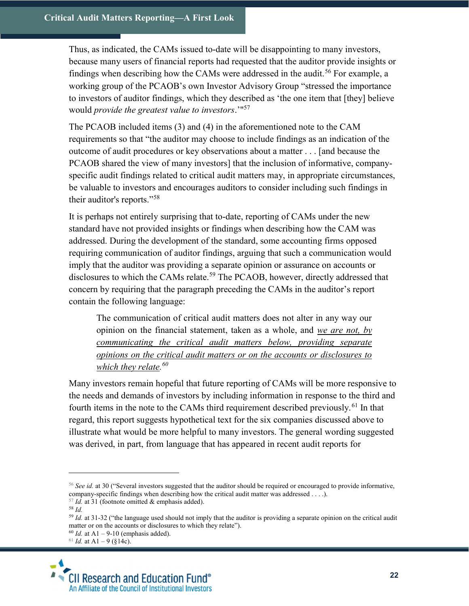Thus, as indicated, the CAMs issued to-date will be disappointing to many investors, because many users of financial reports had requested that the auditor provide insights or findings when describing how the CAMs were addressed in the audit.<sup>56</sup> For example, a working group of the PCAOB's own Investor Advisory Group "stressed the importance to investors of auditor findings, which they described as 'the one item that [they] believe would provide the greatest value to investors.'"<sup>57</sup>

The PCAOB included items (3) and (4) in the aforementioned note to the CAM requirements so that "the auditor may choose to include findings as an indication of the outcome of audit procedures or key observations about a matter . . . [and because the PCAOB shared the view of many investors] that the inclusion of informative, companyspecific audit findings related to critical audit matters may, in appropriate circumstances, be valuable to investors and encourages auditors to consider including such findings in their auditor's reports."<sup>58</sup>

It is perhaps not entirely surprising that to-date, reporting of CAMs under the new standard have not provided insights or findings when describing how the CAM was addressed. During the development of the standard, some accounting firms opposed requiring communication of auditor findings, arguing that such a communication would imply that the auditor was providing a separate opinion or assurance on accounts or disclosures to which the CAMs relate.<sup>59</sup> The PCAOB, however, directly addressed that concern by requiring that the paragraph preceding the CAMs in the auditor's report contain the following language:

The communication of critical audit matters does not alter in any way our opinion on the financial statement, taken as a whole, and we are not, by communicating the critical audit matters below, providing separate opinions on the critical audit matters or on the accounts or disclosures to which they relate.<sup>60</sup>

Many investors remain hopeful that future reporting of CAMs will be more responsive to the needs and demands of investors by including information in response to the third and fourth items in the note to the CAMs third requirement described previously.<sup>61</sup> In that regard, this report suggests hypothetical text for the six companies discussed above to illustrate what would be more helpful to many investors. The general wording suggested was derived, in part, from language that has appeared in recent audit reports for

 $61$  *Id.* at A1 – 9 (§14c).



 $56$  See id. at 30 ("Several investors suggested that the auditor should be required or encouraged to provide informative, company-specific findings when describing how the critical audit matter was addressed . . . .).

 $57$  Id. at 31 (footnote omitted & emphasis added).

<sup>58</sup> Id.

 $59$  Id. at 31-32 ("the language used should not imply that the auditor is providing a separate opinion on the critical audit matter or on the accounts or disclosures to which they relate").

 $60$  Id. at A1 – 9-10 (emphasis added).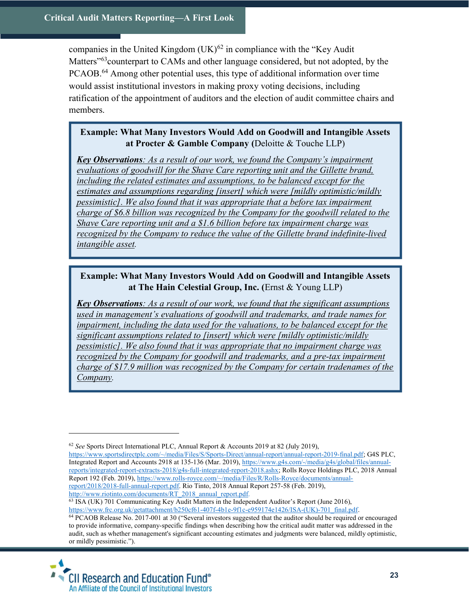companies in the United Kingdom  $(UK)^{62}$  in compliance with the "Key Audit" Matters<sup>"63</sup>counterpart to CAMs and other language considered, but not adopted, by the PCAOB.<sup>64</sup> Among other potential uses, this type of additional information over time would assist institutional investors in making proxy voting decisions, including ratification of the appointment of auditors and the election of audit committee chairs and members.

# Example: What Many Investors Would Add on Goodwill and Intangible Assets at Procter & Gamble Company (Deloitte & Touche LLP)

Key Observations: As a result of our work, we found the Company's impairment evaluations of goodwill for the Shave Care reporting unit and the Gillette brand, including the related estimates and assumptions, to be balanced except for the estimates and assumptions regarding [insert] which were [mildly optimistic/mildly pessimistic]. We also found that it was appropriate that a before tax impairment charge of \$6.8 billion was recognized by the Company for the goodwill related to the Shave Care reporting unit and a \$1.6 billion before tax impairment charge was recognized by the Company to reduce the value of the Gillette brand indefinite-lived intangible asset.

# Example: What Many Investors Would Add on Goodwill and Intangible Assets at The Hain Celestial Group, Inc. (Ernst & Young LLP)

**Key Observations**: As a result of our work, we found that the significant assumptions used in management's evaluations of goodwill and trademarks, and trade names for impairment, including the data used for the valuations, to be balanced except for the significant assumptions related to [insert] which were [mildly optimistic/mildly pessimistic]. We also found that it was appropriate that no impairment charge was recognized by the Company for goodwill and trademarks, and a pre-tax impairment charge of \$17.9 million was recognized by the Company for certain tradenames of the Company.

<sup>63</sup> ISA (UK) 701 Communicating Key Audit Matters in the Independent Auditor's Report (June 2016), https://www.frc.org.uk/getattachment/b250cf61-407f-4b1e-9f1c-e959174e1426/ISA-(UK)-701\_final.pdf.

<sup>64</sup> PCAOB Release No. 2017-001 at 30 ("Several investors suggested that the auditor should be required or encouraged to provide informative, company-specific findings when describing how the critical audit matter was addressed in the audit, such as whether management's significant accounting estimates and judgments were balanced, mildly optimistic, or mildly pessimistic.").



 $62$  See Sports Direct International PLC, Annual Report & Accounts 2019 at 82 (July 2019),

https://www.sportsdirectplc.com/~/media/Files/S/Sports-Direct/annual-report/annual-report-2019-final.pdf; G4S PLC, Integrated Report and Accounts 2918 at 135-136 (Mar. 2019), https://www.g4s.com/-/media/g4s/global/files/annualreports/integrated-report-extracts-2018/g4s-full-integrated-report-2018.ashx; Rolls Royce Holdings PLC, 2018 Annual Report 192 (Feb. 2019), https://www.rolls-royce.com/~/media/Files/R/Rolls-Royce/documents/annualreport/2018/2018-full-annual-report.pdf. Rio Tinto, 2018 Annual Report 257-58 (Feb. 2019), http://www.riotinto.com/documents/RT\_2018\_annual\_report.pdf.